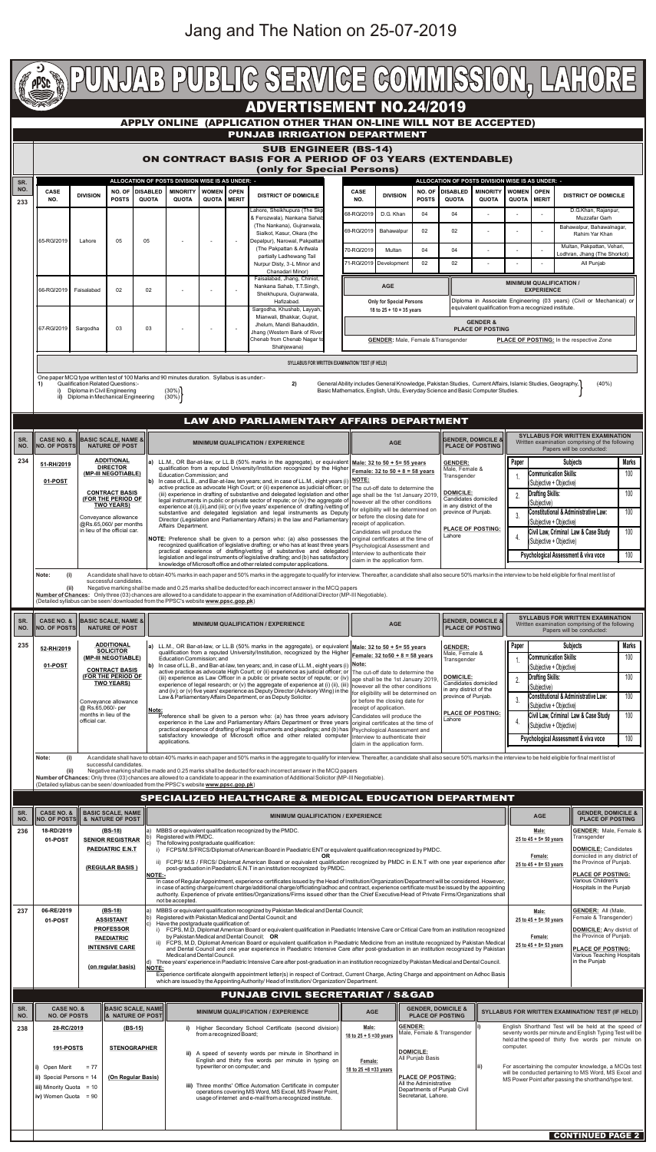| 235        | 52-RH/2019                                                                                                                                                        |                                                                                                                                                                                                                                                                                                                                                                                                                      | <b>ADDITIONAL</b><br><b>SOLICITOR</b><br>(MP-III NEGOTIABLE)                                                                                                                                                      |                                                                                                                                                                                                                                                                                      | a) LL.M., OR Bar-at-law, or LL.B (50% marks in the aggregate), or equivalent   Male: 32 to 50 + 5= 55 years                                                                                                                               |                                                                                    |                                                                        | <b>GENDER:</b>                                           |                                                         | Paper                                                                                                           |                                                                   | <b>Subjects</b>                                      | <b>Marks</b> |
|------------|-------------------------------------------------------------------------------------------------------------------------------------------------------------------|----------------------------------------------------------------------------------------------------------------------------------------------------------------------------------------------------------------------------------------------------------------------------------------------------------------------------------------------------------------------------------------------------------------------|-------------------------------------------------------------------------------------------------------------------------------------------------------------------------------------------------------------------|--------------------------------------------------------------------------------------------------------------------------------------------------------------------------------------------------------------------------------------------------------------------------------------|-------------------------------------------------------------------------------------------------------------------------------------------------------------------------------------------------------------------------------------------|------------------------------------------------------------------------------------|------------------------------------------------------------------------|----------------------------------------------------------|---------------------------------------------------------|-----------------------------------------------------------------------------------------------------------------|-------------------------------------------------------------------|------------------------------------------------------|--------------|
|            |                                                                                                                                                                   |                                                                                                                                                                                                                                                                                                                                                                                                                      |                                                                                                                                                                                                                   |                                                                                                                                                                                                                                                                                      | qualification from a reputed University/Institution, recognized by the Higher $\frac{\sqrt{5}}{\sqrt{15}}$ Female: 32 to 50 + 8 = 58 years<br>Male, Female &<br>Education Commission; and<br>Transgender                                  |                                                                                    |                                                                        |                                                          |                                                         |                                                                                                                 | <b>Communication Skills:</b>                                      |                                                      | 100          |
|            |                                                                                                                                                                   | 01-POST<br><b>CONTRACT BASIS</b><br>(FOR THE PERIOD OF                                                                                                                                                                                                                                                                                                                                                               |                                                                                                                                                                                                                   |                                                                                                                                                                                                                                                                                      | $ {\bf b})$ In case of LL.B., and Bar-at-law, ten years; and, in case of LL.M., eight years (i) $ \textsf{Note:}$<br>active practice as advocate High Court; or (ii) experience as judicial officer; or The cut-off date to determine the |                                                                                    |                                                                        |                                                          |                                                         |                                                                                                                 | (Subjective + Objective)                                          |                                                      |              |
|            |                                                                                                                                                                   |                                                                                                                                                                                                                                                                                                                                                                                                                      | <b>TWO YEARS)</b>                                                                                                                                                                                                 |                                                                                                                                                                                                                                                                                      | (iii) experience as Law Officer in a public or private sector of repute; or (iv)<br>experience of legal research; or (v) the aggregate of experience at (i) (ii), (iii) $\vert$ however all the other conditions                          | age shall be the 1st January 2019.                                                 |                                                                        | <b>DOMICILE:</b><br>Candidates domiciled                 |                                                         |                                                                                                                 | <b>Drafting Skills:</b><br>(Subjective)                           |                                                      | 100          |
|            |                                                                                                                                                                   |                                                                                                                                                                                                                                                                                                                                                                                                                      | Conveyance allowance<br>@ Rs.65,060/- per<br>Note:                                                                                                                                                                |                                                                                                                                                                                                                                                                                      | and (iv); or (v) five years' experience as Deputy Director (Advisory Wing) in the<br>Law & Parliamentary Affairs Department, or as Deputy Solicitor.                                                                                      | for eligibility will be determined on                                              |                                                                        | in any district of the<br>province of Punjab.            |                                                         |                                                                                                                 | Constitutional & Administrative Law:                              |                                                      | 100          |
|            |                                                                                                                                                                   |                                                                                                                                                                                                                                                                                                                                                                                                                      |                                                                                                                                                                                                                   |                                                                                                                                                                                                                                                                                      |                                                                                                                                                                                                                                           |                                                                                    | or before the closing date for<br>receipt of application.              |                                                          |                                                         |                                                                                                                 | (Subjective + Objective)                                          |                                                      |              |
|            |                                                                                                                                                                   | months in lieu of the<br>official car.                                                                                                                                                                                                                                                                                                                                                                               |                                                                                                                                                                                                                   |                                                                                                                                                                                                                                                                                      | Preference shall be given to a person who: (a) has three years advisory Candidates will produce the<br>experience in the Law and Parliamentary Affairs Department or three years original certificates at the time of                     |                                                                                    |                                                                        | <b>PLACE OF POSTING:</b><br>Lahore                       |                                                         |                                                                                                                 | Civil Law, Criminal Law & Case Study                              |                                                      | 100          |
|            |                                                                                                                                                                   |                                                                                                                                                                                                                                                                                                                                                                                                                      |                                                                                                                                                                                                                   |                                                                                                                                                                                                                                                                                      | practical experience of drafting of legal instruments and pleadings; and (b) has   Psychological Assessment and<br>satisfactory knowledge of Microsoft office and other related computer Interview to authenticate their                  |                                                                                    |                                                                        |                                                          |                                                         |                                                                                                                 | (Subjective + Objective)                                          |                                                      |              |
|            |                                                                                                                                                                   |                                                                                                                                                                                                                                                                                                                                                                                                                      |                                                                                                                                                                                                                   |                                                                                                                                                                                                                                                                                      | applications.<br>claim in the application form.                                                                                                                                                                                           |                                                                                    |                                                                        |                                                          |                                                         |                                                                                                                 | <b>Psychological Assessment &amp; viva voce</b>                   |                                                      | 100          |
|            | (i)<br>Note:                                                                                                                                                      |                                                                                                                                                                                                                                                                                                                                                                                                                      |                                                                                                                                                                                                                   |                                                                                                                                                                                                                                                                                      | A candidate shall have to obtain 40% marks in each paper and 50% marks in the aggregate to qualify for interview. Thereafter, a candidate shall also secure 50% marks in the interview to be held eligible for final merit lis            |                                                                                    |                                                                        |                                                          |                                                         |                                                                                                                 |                                                                   |                                                      |              |
|            | successful candidates.<br>(ii)<br>Negative marking shall be made and 0.25 marks shall be deducted for each incorrect answer in the MCQ papers                     |                                                                                                                                                                                                                                                                                                                                                                                                                      |                                                                                                                                                                                                                   |                                                                                                                                                                                                                                                                                      |                                                                                                                                                                                                                                           |                                                                                    |                                                                        |                                                          |                                                         |                                                                                                                 |                                                                   |                                                      |              |
|            |                                                                                                                                                                   |                                                                                                                                                                                                                                                                                                                                                                                                                      |                                                                                                                                                                                                                   |                                                                                                                                                                                                                                                                                      | Number of Chances: Only three (03) chances are allowed to a candidate to appear in the examination of Additional Solicitor (MP-III Negotiable).<br>(Detailed syllabus can be seen/downloaded from the PPSC's website www.ppsc.gop.pk)     |                                                                                    |                                                                        |                                                          |                                                         |                                                                                                                 |                                                                   |                                                      |              |
|            |                                                                                                                                                                   |                                                                                                                                                                                                                                                                                                                                                                                                                      |                                                                                                                                                                                                                   |                                                                                                                                                                                                                                                                                      | SPECIALIZED HEALTHCARE & MEDICAL EDUCATION DEPARTMENT                                                                                                                                                                                     |                                                                                    |                                                                        |                                                          |                                                         |                                                                                                                 |                                                                   |                                                      |              |
| SR.<br>NO. | <b>CASE NO. &amp;</b><br><b>NO. OF POSTS</b>                                                                                                                      |                                                                                                                                                                                                                                                                                                                                                                                                                      | <b>BASIC SCALE, NAME</b><br>& NATURE OF POST                                                                                                                                                                      |                                                                                                                                                                                                                                                                                      | <b>MINIMUM QUALIFICATION / EXPERIENCE</b>                                                                                                                                                                                                 |                                                                                    | <b>GENDER, DOMICILE &amp;</b><br><b>AGE</b><br><b>PLACE OF POSTING</b> |                                                          |                                                         |                                                                                                                 |                                                                   |                                                      |              |
| 236        | 18-RD/2019                                                                                                                                                        |                                                                                                                                                                                                                                                                                                                                                                                                                      | (BS-18)<br><b>SENIOR REGISTRAR</b>                                                                                                                                                                                |                                                                                                                                                                                                                                                                                      | MBBS or equivalent qualification recognized by the PMDC.<br>Registered with PMDC.                                                                                                                                                         |                                                                                    | Male:<br>25 to $45 + 5 = 50$ years                                     |                                                          | <b>GENDER:</b> Male, Female &<br>Transgender            |                                                                                                                 |                                                                   |                                                      |              |
|            | 01-POST                                                                                                                                                           |                                                                                                                                                                                                                                                                                                                                                                                                                      | <b>PAEDIATRIC E.N.T</b>                                                                                                                                                                                           |                                                                                                                                                                                                                                                                                      | The following postgraduate qualification:<br>i) FCPS/M.S/FRCS/Diplomat of American Board in Paediatric ENT or equivalent qualification recognized by PMDC.                                                                                |                                                                                    |                                                                        |                                                          |                                                         |                                                                                                                 |                                                                   | DOMICILE: Candidates                                 |              |
|            |                                                                                                                                                                   |                                                                                                                                                                                                                                                                                                                                                                                                                      |                                                                                                                                                                                                                   |                                                                                                                                                                                                                                                                                      | <b>OR</b><br>ii) FCPS/ M.S / FRCS/ Diplomat American Board or equivalent qualification recognized by PMDC in E.N.T with one year experience after                                                                                         |                                                                                    |                                                                        | Female:<br>25 to $45 + 8 = 53$ years                     | domiciled in any district of<br>the Province of Punjab. |                                                                                                                 |                                                                   |                                                      |              |
|            |                                                                                                                                                                   | (REGULAR BASIS)<br>post-graduation in Paediatric E.N.T in an institution recognized by PMDC.<br><b>NOTE:-</b><br>In case of Regular Appointment, experience certificates issued by the Head of Institution/Organization/Department will be considered. However,<br>in case of acting charge/current charge/additional charge/officiating/adhoc and contract, experience certificate must be issued by the appointing |                                                                                                                                                                                                                   |                                                                                                                                                                                                                                                                                      |                                                                                                                                                                                                                                           |                                                                                    |                                                                        |                                                          |                                                         | <b>PLACE OF POSTING:</b>                                                                                        |                                                                   |                                                      |              |
|            |                                                                                                                                                                   |                                                                                                                                                                                                                                                                                                                                                                                                                      |                                                                                                                                                                                                                   |                                                                                                                                                                                                                                                                                      |                                                                                                                                                                                                                                           |                                                                                    |                                                                        |                                                          |                                                         |                                                                                                                 |                                                                   | Various Children's<br>Hospitals in the Punjab        |              |
|            | authority. Experience of private entities/Organizations/Firms issued other than the Chief Executive/Head of Private Firms/Organizations shall<br>not be accepted. |                                                                                                                                                                                                                                                                                                                                                                                                                      |                                                                                                                                                                                                                   |                                                                                                                                                                                                                                                                                      |                                                                                                                                                                                                                                           |                                                                                    |                                                                        |                                                          |                                                         |                                                                                                                 |                                                                   |                                                      |              |
| 237        | 06-RE/2019                                                                                                                                                        |                                                                                                                                                                                                                                                                                                                                                                                                                      | (BS-18)                                                                                                                                                                                                           | lb)                                                                                                                                                                                                                                                                                  | MBBS or equivalent qualification recognized by Pakistan Medical and Dental Council;<br>Registered with Pakistan Medical and Dental Council; and                                                                                           |                                                                                    | <b>GENDER: All (Male,</b><br>Male:<br>Female & Transgender)            |                                                          |                                                         |                                                                                                                 |                                                                   |                                                      |              |
|            | 01-POST                                                                                                                                                           |                                                                                                                                                                                                                                                                                                                                                                                                                      | <b>ASSISTANT</b><br><b>PROFESSOR</b>                                                                                                                                                                              | c)                                                                                                                                                                                                                                                                                   | Have the postgraduate qualification of:                                                                                                                                                                                                   | 25 to $45 + 5 = 50$ years                                                          |                                                                        | DOMICILE: Any district of                                |                                                         |                                                                                                                 |                                                                   |                                                      |              |
|            |                                                                                                                                                                   |                                                                                                                                                                                                                                                                                                                                                                                                                      | i) FCPS, M.D, Diplomat American Board or equivalent qualification in Paediatric Intensive Care or Critical Care from an institution recognized<br>by Pakistan Medical and Dental Council; OR<br><b>PAEDIATRIC</b> |                                                                                                                                                                                                                                                                                      |                                                                                                                                                                                                                                           |                                                                                    |                                                                        |                                                          |                                                         | Female:                                                                                                         | the Province of Punjab.                                           |                                                      |              |
|            |                                                                                                                                                                   |                                                                                                                                                                                                                                                                                                                                                                                                                      | <b>INTENSIVE CARE</b>                                                                                                                                                                                             | ii) FCPS, M.D, Diplomat American Board or equivalent qualification in Paediatric Medicine from an institute recognized by Pakistan Medical<br>and Dental Council and one year experience in Paediatric Intensive Care after post-graduation in an institution recognized by Pakistan |                                                                                                                                                                                                                                           |                                                                                    |                                                                        |                                                          |                                                         |                                                                                                                 | 25 to $45 + 8 = 53$ years                                         | <b>PLACE OF POSTING:</b>                             |              |
|            |                                                                                                                                                                   |                                                                                                                                                                                                                                                                                                                                                                                                                      |                                                                                                                                                                                                                   |                                                                                                                                                                                                                                                                                      | Medical and Dental Council.<br>d) Three years' experience in Paediatric Intensive Care after post-graduation in an institution recognized by Pakistan Medical and Dental Council.                                                         |                                                                                    |                                                                        | Various Teaching Hospitals<br>in the Punjab              |                                                         |                                                                                                                 |                                                                   |                                                      |              |
|            |                                                                                                                                                                   | (on regular basis)<br><b>INOTE:</b>                                                                                                                                                                                                                                                                                                                                                                                  |                                                                                                                                                                                                                   |                                                                                                                                                                                                                                                                                      | Experience certificate alongwith appointment letter(s) in respect of Contract, Current Charge, Acting Charge and appointment on Adhoc Basis                                                                                               |                                                                                    |                                                                        |                                                          |                                                         |                                                                                                                 |                                                                   |                                                      |              |
|            |                                                                                                                                                                   |                                                                                                                                                                                                                                                                                                                                                                                                                      |                                                                                                                                                                                                                   |                                                                                                                                                                                                                                                                                      | which are issued by the Appointing Authority/ Head of Institution/ Organization/ Department.                                                                                                                                              |                                                                                    |                                                                        |                                                          |                                                         |                                                                                                                 |                                                                   |                                                      |              |
|            |                                                                                                                                                                   |                                                                                                                                                                                                                                                                                                                                                                                                                      |                                                                                                                                                                                                                   |                                                                                                                                                                                                                                                                                      | <b>PUNJAB CIVIL SECRETARIAT / S&amp;GAD</b>                                                                                                                                                                                               |                                                                                    |                                                                        |                                                          |                                                         |                                                                                                                 |                                                                   |                                                      |              |
| SR.<br>NO. |                                                                                                                                                                   | <b>CASE NO. &amp;</b><br><b>BASIC SCALE, NAME</b><br><b>&amp; NATURE OF POST</b><br><b>NO. OF POSTS</b>                                                                                                                                                                                                                                                                                                              |                                                                                                                                                                                                                   | <b>MINIMUM QUALIFICATION / EXPERIENCE</b>                                                                                                                                                                                                                                            |                                                                                                                                                                                                                                           | <b>AGE</b>                                                                         |                                                                        | <b>GENDER, DOMICILE &amp;</b><br><b>PLACE OF POSTING</b> |                                                         | SYLLABUS FOR WRITTEN EXAMINATION/ TEST (IF HELD)                                                                |                                                                   |                                                      |              |
| 238        | 28-RC/2019                                                                                                                                                        |                                                                                                                                                                                                                                                                                                                                                                                                                      | $(BS-15)$                                                                                                                                                                                                         |                                                                                                                                                                                                                                                                                      | Higher Secondary School Certificate (second division)<br>from a recognized Board;                                                                                                                                                         | <b>GENDER:</b><br>Male:<br>Male, Female & Transgender<br>18 to $25 + 5 = 30$ years |                                                                        |                                                          |                                                         | English Shorthand Test will be held at the speed of<br>seventy words per minute and English Typing Test will be |                                                                   |                                                      |              |
|            |                                                                                                                                                                   | 191-POSTS<br><b>STENOGRAPHER</b>                                                                                                                                                                                                                                                                                                                                                                                     |                                                                                                                                                                                                                   |                                                                                                                                                                                                                                                                                      |                                                                                                                                                                                                                                           |                                                                                    |                                                                        |                                                          |                                                         |                                                                                                                 | held at the speed of thirty five words per minute on<br>computer. |                                                      |              |
|            |                                                                                                                                                                   |                                                                                                                                                                                                                                                                                                                                                                                                                      |                                                                                                                                                                                                                   |                                                                                                                                                                                                                                                                                      | ii) A speed of seventy words per minute in Shorthand in<br>English and thirty five words per minute in typing on                                                                                                                          | Female:                                                                            | DOMICILE:<br>All Punjab Basis                                          |                                                          |                                                         |                                                                                                                 |                                                                   |                                                      |              |
|            | Open Merit<br>$= 77$<br>l i)                                                                                                                                      |                                                                                                                                                                                                                                                                                                                                                                                                                      |                                                                                                                                                                                                                   |                                                                                                                                                                                                                                                                                      | typewriter or on computer; and                                                                                                                                                                                                            | 18 to $25 + 8 = 33$ years                                                          |                                                                        |                                                          |                                                         |                                                                                                                 |                                                                   | For ascertaining the computer knowledge, a MCQs test |              |
|            | ii) Special Persons = 14                                                                                                                                          |                                                                                                                                                                                                                                                                                                                                                                                                                      | (On Regular Basis)                                                                                                                                                                                                |                                                                                                                                                                                                                                                                                      | iii) Three months' Office Automation Certificate in computer                                                                                                                                                                              | <b>PLACE OF POSTING:</b><br>All the Administrative                                 |                                                                        |                                                          |                                                         | will be conducted pertaining to MS Word, MS Excel and<br>MS Power Point after passing the shorthand/type test.  |                                                                   |                                                      |              |
|            |                                                                                                                                                                   | iii) Minority Quota = 10<br>$(iv)$ Women Quota = 90                                                                                                                                                                                                                                                                                                                                                                  |                                                                                                                                                                                                                   |                                                                                                                                                                                                                                                                                      | operations covering MS Word, MS Excel, MS Power Point,<br>usage of internet and e-mail from a recognized institute.                                                                                                                       |                                                                                    | Departments of Punjab Civil<br>Secretariat, Lahore.                    |                                                          |                                                         |                                                                                                                 |                                                                   |                                                      |              |
|            |                                                                                                                                                                   |                                                                                                                                                                                                                                                                                                                                                                                                                      |                                                                                                                                                                                                                   |                                                                                                                                                                                                                                                                                      |                                                                                                                                                                                                                                           |                                                                                    |                                                                        |                                                          |                                                         |                                                                                                                 |                                                                   |                                                      |              |
|            |                                                                                                                                                                   |                                                                                                                                                                                                                                                                                                                                                                                                                      |                                                                                                                                                                                                                   |                                                                                                                                                                                                                                                                                      |                                                                                                                                                                                                                                           |                                                                                    |                                                                        |                                                          |                                                         |                                                                                                                 |                                                                   |                                                      |              |
|            |                                                                                                                                                                   |                                                                                                                                                                                                                                                                                                                                                                                                                      |                                                                                                                                                                                                                   |                                                                                                                                                                                                                                                                                      |                                                                                                                                                                                                                                           |                                                                                    |                                                                        |                                                          |                                                         |                                                                                                                 |                                                                   | <b>CONTINUED PAGE 2</b>                              |              |

|            | WEARTY FAIRTIG REKNIGE GOMMINISSION" FYTOR                                                                                                                                                                                                                                                                                                                                                                                                                                                                             |                                                                                                                                                                                                                                                                                                                                                                                                                                                                                                                                                                                                                                                                                                                                                                                                                                                                                                                                       |                                                         |                                 |                                                  |                                    |  |                                                                                                                                                                                                                                                               |                                                                                                                          |                                                                   |                                               |                                                  |                                                          |                                                          |                                      |                                                                                                                         |              |
|------------|------------------------------------------------------------------------------------------------------------------------------------------------------------------------------------------------------------------------------------------------------------------------------------------------------------------------------------------------------------------------------------------------------------------------------------------------------------------------------------------------------------------------|---------------------------------------------------------------------------------------------------------------------------------------------------------------------------------------------------------------------------------------------------------------------------------------------------------------------------------------------------------------------------------------------------------------------------------------------------------------------------------------------------------------------------------------------------------------------------------------------------------------------------------------------------------------------------------------------------------------------------------------------------------------------------------------------------------------------------------------------------------------------------------------------------------------------------------------|---------------------------------------------------------|---------------------------------|--------------------------------------------------|------------------------------------|--|---------------------------------------------------------------------------------------------------------------------------------------------------------------------------------------------------------------------------------------------------------------|--------------------------------------------------------------------------------------------------------------------------|-------------------------------------------------------------------|-----------------------------------------------|--------------------------------------------------|----------------------------------------------------------|----------------------------------------------------------|--------------------------------------|-------------------------------------------------------------------------------------------------------------------------|--------------|
|            | <b>ADVERTISEMENT NO.24/2019</b>                                                                                                                                                                                                                                                                                                                                                                                                                                                                                        |                                                                                                                                                                                                                                                                                                                                                                                                                                                                                                                                                                                                                                                                                                                                                                                                                                                                                                                                       |                                                         |                                 |                                                  |                                    |  |                                                                                                                                                                                                                                                               |                                                                                                                          |                                                                   |                                               |                                                  |                                                          |                                                          |                                      |                                                                                                                         |              |
|            | APPLY ONLINE (APPLICATION OTHER THAN ON-LINE WILL NOT BE ACCEPTED)<br><b>PUNJAB IRRIGATION DEPARTMENT</b>                                                                                                                                                                                                                                                                                                                                                                                                              |                                                                                                                                                                                                                                                                                                                                                                                                                                                                                                                                                                                                                                                                                                                                                                                                                                                                                                                                       |                                                         |                                 |                                                  |                                    |  |                                                                                                                                                                                                                                                               |                                                                                                                          |                                                                   |                                               |                                                  |                                                          |                                                          |                                      |                                                                                                                         |              |
|            |                                                                                                                                                                                                                                                                                                                                                                                                                                                                                                                        |                                                                                                                                                                                                                                                                                                                                                                                                                                                                                                                                                                                                                                                                                                                                                                                                                                                                                                                                       |                                                         |                                 |                                                  |                                    |  | <b>SUB ENGINEER (BS-14)</b>                                                                                                                                                                                                                                   |                                                                                                                          |                                                                   |                                               |                                                  |                                                          |                                                          |                                      |                                                                                                                         |              |
|            |                                                                                                                                                                                                                                                                                                                                                                                                                                                                                                                        |                                                                                                                                                                                                                                                                                                                                                                                                                                                                                                                                                                                                                                                                                                                                                                                                                                                                                                                                       |                                                         |                                 |                                                  |                                    |  | ON CONTRACT BASIS FOR A PERIOD OF 03 YEARS (EXTENDABLE)                                                                                                                                                                                                       |                                                                                                                          |                                                                   |                                               |                                                  |                                                          |                                                          |                                      |                                                                                                                         |              |
| SR.        |                                                                                                                                                                                                                                                                                                                                                                                                                                                                                                                        |                                                                                                                                                                                                                                                                                                                                                                                                                                                                                                                                                                                                                                                                                                                                                                                                                                                                                                                                       |                                                         |                                 | ALLOCATION OF POSTS DIVISION WISE IS AS UNDER: - |                                    |  | (only for Special Persons)                                                                                                                                                                                                                                    |                                                                                                                          |                                                                   |                                               | ALLOCATION OF POSTS DIVISION WISE IS AS UNDER: - |                                                          |                                                          |                                      |                                                                                                                         |              |
| NO.        | <b>CASE</b>                                                                                                                                                                                                                                                                                                                                                                                                                                                                                                            | <b>DIVISION</b>                                                                                                                                                                                                                                                                                                                                                                                                                                                                                                                                                                                                                                                                                                                                                                                                                                                                                                                       | NO. OF<br><b>POSTS</b>                                  | <b>DISABLED</b><br><b>QUOTA</b> | <b>MINORITY</b>                                  | <b>WOMEN</b>   OPEN<br>QUOTA MERIT |  | <b>DISTRICT OF DOMICILE</b>                                                                                                                                                                                                                                   | <b>CASE</b>                                                                                                              | <b>DIVISION</b>                                                   | NO. OF<br><b>POSTS</b>                        | <b>DISABLED</b><br><b>QUOTA</b>                  | <b>MINORITY</b>                                          | <b>WOMEN</b><br><b>QUOTA</b>                             | <b>OPEN</b><br><b>MERIT</b>          | <b>DISTRICT OF DOMICILE</b>                                                                                             |              |
| 233        | NO.                                                                                                                                                                                                                                                                                                                                                                                                                                                                                                                    |                                                                                                                                                                                                                                                                                                                                                                                                                                                                                                                                                                                                                                                                                                                                                                                                                                                                                                                                       |                                                         |                                 | <b>QUOTA</b>                                     |                                    |  | Lahore, Sheikhupura (The Skp                                                                                                                                                                                                                                  | NO.<br>68-RG/2019                                                                                                        | D.G. Khan                                                         | 04                                            | 04                                               | <b>QUOTA</b><br>$\overline{\phantom{a}}$                 |                                                          |                                      | D.G.Khan, Rajanpur,                                                                                                     |              |
|            |                                                                                                                                                                                                                                                                                                                                                                                                                                                                                                                        |                                                                                                                                                                                                                                                                                                                                                                                                                                                                                                                                                                                                                                                                                                                                                                                                                                                                                                                                       |                                                         |                                 |                                                  |                                    |  | & Ferozwala), Nankana Sahab<br>(The Nankana), Gujranwala,<br>Sialkot, Kasur, Okara (the<br>Depalpur), Narowal, Pakpattan<br>(The Pakpattan & Arifwala<br>partially Ladhewang Tail                                                                             | 69-RG/2019                                                                                                               | Bahawalpur                                                        | 02                                            | 02                                               | $\blacksquare$                                           |                                                          |                                      | Muzzafar Garh<br>Bahawalpur, Bahawalnagar,                                                                              |              |
|            | 65-RG/2019                                                                                                                                                                                                                                                                                                                                                                                                                                                                                                             | Lahore                                                                                                                                                                                                                                                                                                                                                                                                                                                                                                                                                                                                                                                                                                                                                                                                                                                                                                                                | 05                                                      | 05                              |                                                  |                                    |  |                                                                                                                                                                                                                                                               |                                                                                                                          |                                                                   |                                               |                                                  |                                                          |                                                          |                                      | Rahim Yar Khan<br>Multan, Pakpattan, Vehari,                                                                            |              |
|            |                                                                                                                                                                                                                                                                                                                                                                                                                                                                                                                        |                                                                                                                                                                                                                                                                                                                                                                                                                                                                                                                                                                                                                                                                                                                                                                                                                                                                                                                                       |                                                         |                                 |                                                  |                                    |  |                                                                                                                                                                                                                                                               | 70-RG/2019                                                                                                               | Multan<br>71-RG/2019   Development                                | 04<br>02                                      | 04<br>02                                         | $\blacksquare$<br>$\overline{\phantom{a}}$               |                                                          |                                      | Lodhran, Jhang (The Shorkot)<br>All Punjab                                                                              |              |
|            |                                                                                                                                                                                                                                                                                                                                                                                                                                                                                                                        |                                                                                                                                                                                                                                                                                                                                                                                                                                                                                                                                                                                                                                                                                                                                                                                                                                                                                                                                       |                                                         |                                 |                                                  |                                    |  | Nurpur Disty, 3-L Minor and<br>Chanadari Minor)<br>Faisalabad, Jhang, Chiniot,                                                                                                                                                                                |                                                                                                                          |                                                                   |                                               |                                                  |                                                          |                                                          |                                      |                                                                                                                         |              |
|            | 66-RG/2019                                                                                                                                                                                                                                                                                                                                                                                                                                                                                                             | Faisalabad                                                                                                                                                                                                                                                                                                                                                                                                                                                                                                                                                                                                                                                                                                                                                                                                                                                                                                                            | 02                                                      | 02                              |                                                  |                                    |  | Nankana Sahab, T.T.Singh,<br>Sheikhupura, Gujranwala,                                                                                                                                                                                                         |                                                                                                                          | <b>MINIMUM QUALIFICATION /</b><br><b>AGE</b><br><b>EXPERIENCE</b> |                                               |                                                  |                                                          |                                                          |                                      |                                                                                                                         |              |
|            |                                                                                                                                                                                                                                                                                                                                                                                                                                                                                                                        |                                                                                                                                                                                                                                                                                                                                                                                                                                                                                                                                                                                                                                                                                                                                                                                                                                                                                                                                       |                                                         |                                 |                                                  |                                    |  | Hafizabad.<br>Sargodha, Khushab, Layyah,                                                                                                                                                                                                                      |                                                                                                                          | <b>Only for Special Persons</b><br>18 to $25 + 10 = 35$ years     |                                               |                                                  | equivalent qualification from a recognized institute.    |                                                          |                                      | Diploma in Associate Engineering (03 years) (Civil or Mechanical) or                                                    |              |
|            | 67-RG/2019                                                                                                                                                                                                                                                                                                                                                                                                                                                                                                             | Sargodha                                                                                                                                                                                                                                                                                                                                                                                                                                                                                                                                                                                                                                                                                                                                                                                                                                                                                                                              | 03                                                      | 03                              |                                                  |                                    |  | Mianwali, Bhakkar, Gujrat,<br>Jhelum, Mandi Bahauddin,<br>Jhang (Western Bank of River<br>Chenab from Chenab Nagar to                                                                                                                                         |                                                                                                                          |                                                                   |                                               | <b>GENDER &amp;</b>                              |                                                          |                                                          |                                      |                                                                                                                         |              |
|            |                                                                                                                                                                                                                                                                                                                                                                                                                                                                                                                        |                                                                                                                                                                                                                                                                                                                                                                                                                                                                                                                                                                                                                                                                                                                                                                                                                                                                                                                                       |                                                         |                                 |                                                  |                                    |  |                                                                                                                                                                                                                                                               |                                                                                                                          | <b>GENDER:</b> Male, Female & Transgender                         |                                               |                                                  | <b>PLACE OF POSTING</b>                                  |                                                          |                                      | PLACE OF POSTING: In the respective Zone                                                                                |              |
|            |                                                                                                                                                                                                                                                                                                                                                                                                                                                                                                                        |                                                                                                                                                                                                                                                                                                                                                                                                                                                                                                                                                                                                                                                                                                                                                                                                                                                                                                                                       |                                                         |                                 |                                                  |                                    |  | Shahjewana)                                                                                                                                                                                                                                                   |                                                                                                                          |                                                                   |                                               |                                                  |                                                          |                                                          |                                      |                                                                                                                         |              |
|            | SYLLABUS FOR WRITTEN EXAMINATION/ TEST (IF HELD)<br>One paper MCQ type written test of 100 Marks and 90 minutes duration. Syllabus is as under:-<br>(40%)<br><b>Qualification Related Questions:-</b><br>General Ability includes General Knowledge, Pakistan Studies, Current Affairs, Islamic Studies, Geography,<br>2)<br>1)<br>Basic Mathematics, English, Urdu, Everyday Science and Basic Computer Studies.<br>Diploma in Civil Engineering<br>$(30\%)$<br>-i)<br>ii) Diploma in Mechanical Engineering<br>(30%) |                                                                                                                                                                                                                                                                                                                                                                                                                                                                                                                                                                                                                                                                                                                                                                                                                                                                                                                                       |                                                         |                                 |                                                  |                                    |  |                                                                                                                                                                                                                                                               |                                                                                                                          |                                                                   |                                               |                                                  |                                                          |                                                          |                                      |                                                                                                                         |              |
|            |                                                                                                                                                                                                                                                                                                                                                                                                                                                                                                                        |                                                                                                                                                                                                                                                                                                                                                                                                                                                                                                                                                                                                                                                                                                                                                                                                                                                                                                                                       |                                                         |                                 |                                                  |                                    |  |                                                                                                                                                                                                                                                               |                                                                                                                          |                                                                   |                                               |                                                  |                                                          |                                                          |                                      |                                                                                                                         |              |
|            |                                                                                                                                                                                                                                                                                                                                                                                                                                                                                                                        |                                                                                                                                                                                                                                                                                                                                                                                                                                                                                                                                                                                                                                                                                                                                                                                                                                                                                                                                       |                                                         |                                 |                                                  |                                    |  |                                                                                                                                                                                                                                                               |                                                                                                                          |                                                                   |                                               |                                                  |                                                          |                                                          |                                      |                                                                                                                         |              |
|            |                                                                                                                                                                                                                                                                                                                                                                                                                                                                                                                        |                                                                                                                                                                                                                                                                                                                                                                                                                                                                                                                                                                                                                                                                                                                                                                                                                                                                                                                                       |                                                         |                                 |                                                  |                                    |  | <b>LAW AND PARLIAMENTARY AFFAIRS DEPARTMENT</b>                                                                                                                                                                                                               |                                                                                                                          |                                                                   |                                               |                                                  |                                                          |                                                          |                                      | <b>SYLLABUS FOR WRITTEN EXAMINATION</b>                                                                                 |              |
| SR.<br>NO. | <b>CASE NO. &amp;</b><br><b>NO. OF POSTS</b>                                                                                                                                                                                                                                                                                                                                                                                                                                                                           |                                                                                                                                                                                                                                                                                                                                                                                                                                                                                                                                                                                                                                                                                                                                                                                                                                                                                                                                       | <b>BASIC SCALE, NAME &amp;</b><br><b>NATURE OF POST</b> |                                 |                                                  |                                    |  | <b>MINIMUM QUALIFICATION / EXPERIENCE</b>                                                                                                                                                                                                                     |                                                                                                                          | <b>AGE</b>                                                        |                                               | <b>GENDER, DOMICILE &amp;</b>                    | <b>PLACE OF POSTING</b>                                  |                                                          |                                      | Written examination comprising of the following<br>Papers will be conducted:                                            |              |
| 234        | 51-RH/2019                                                                                                                                                                                                                                                                                                                                                                                                                                                                                                             |                                                                                                                                                                                                                                                                                                                                                                                                                                                                                                                                                                                                                                                                                                                                                                                                                                                                                                                                       | <b>ADDITIONAL</b><br><b>DIRECTOR</b>                    |                                 |                                                  |                                    |  | a) LL.M., OR Bar-at-law, or LL.B (50% marks in the aggregate), or equivalent                                                                                                                                                                                  | Male: 32 to 50 + 5= 55 years                                                                                             |                                                                   |                                               | <b>GENDER:</b><br>Male, Female &                 |                                                          | Paper                                                    |                                      | <b>Subjects</b>                                                                                                         | <b>Marks</b> |
|            | 01-POST                                                                                                                                                                                                                                                                                                                                                                                                                                                                                                                | qualification from a reputed University/Institution recognized by the Higher<br>(MP-III NEGOTIABLE)<br>Education Commission; and<br>$ b\rangle$ In case of LL.B., and Bar-at-law, ten years; and, in case of LL.M., eight years (i)                                                                                                                                                                                                                                                                                                                                                                                                                                                                                                                                                                                                                                                                                                   |                                                         |                                 |                                                  |                                    |  |                                                                                                                                                                                                                                                               | <u>Female: 32 to 50 + 8 = 58 years</u><br>NOTE:                                                                          |                                                                   |                                               | Transgender                                      |                                                          | <b>Communication Skills:</b><br>(Subjective + Objective) |                                      | 100                                                                                                                     |              |
|            |                                                                                                                                                                                                                                                                                                                                                                                                                                                                                                                        | active practice as advocate High Court; or (ii) experience as judicial officer; or The cut-off date to determine the<br><b>CONTRACT BASIS</b><br>(iii) experience in drafting of substantive and delegated legislation and other<br>(FOR THE PERIOD OF<br>legal instruments in public or private sector of repute; or (iv) the aggregate of<br><b>TWO YEARS)</b><br>experience at (i), (ii), and (iii); or (v) five years' experience of drafting /vetting of<br>substantive and delegated legislation and legal instruments as Deputy<br>Conveyance allowance<br>Director (Legislation and Parliamentary Affairs) in the law and Parliamentary<br>@Rs.65,060/ per months<br>Affairs Department.<br>in lieu of the official car.<br>NOTE: Preference shall be given to a person who: (a) also possesses the original certificates at the time of<br>recognized qualification of legislative drafting; or who has at least three years |                                                         |                                 |                                                  |                                    |  |                                                                                                                                                                                                                                                               | age shall be the 1st January 2019                                                                                        |                                                                   |                                               | <b>DOMICILE:</b><br>Candidates domiciled         |                                                          | <b>Drafting Skills:</b><br>2.                            |                                      | 100                                                                                                                     |              |
|            |                                                                                                                                                                                                                                                                                                                                                                                                                                                                                                                        |                                                                                                                                                                                                                                                                                                                                                                                                                                                                                                                                                                                                                                                                                                                                                                                                                                                                                                                                       |                                                         |                                 |                                                  |                                    |  |                                                                                                                                                                                                                                                               | however all the other conditions<br>for eligibility will be determined on                                                |                                                                   | in any district of the<br>province of Punjab. |                                                  |                                                          | (Subjective)<br>Constitutional & Administrative Law:     |                                      | 100                                                                                                                     |              |
|            |                                                                                                                                                                                                                                                                                                                                                                                                                                                                                                                        |                                                                                                                                                                                                                                                                                                                                                                                                                                                                                                                                                                                                                                                                                                                                                                                                                                                                                                                                       |                                                         |                                 |                                                  |                                    |  |                                                                                                                                                                                                                                                               | or before the closing date for<br>receipt of application.<br>Candidates will produce the<br>Psychological Assessment and |                                                                   |                                               | <b>PLACE OF POSTING:</b>                         |                                                          | (Subjective + Objective)                                 | Civil Law, Criminal Law & Case Study | 100                                                                                                                     |              |
|            |                                                                                                                                                                                                                                                                                                                                                                                                                                                                                                                        |                                                                                                                                                                                                                                                                                                                                                                                                                                                                                                                                                                                                                                                                                                                                                                                                                                                                                                                                       |                                                         |                                 |                                                  |                                    |  |                                                                                                                                                                                                                                                               |                                                                                                                          |                                                                   |                                               |                                                  | (Subjective + Objective)                                 |                                                          |                                      |                                                                                                                         |              |
|            |                                                                                                                                                                                                                                                                                                                                                                                                                                                                                                                        | practical experience of drafting/vetting of substantive and delegated<br>legislation and legal instruments of legislative drafting; and (b) has satisfactory<br>knowledge of Microsoft office and other related computer applications.                                                                                                                                                                                                                                                                                                                                                                                                                                                                                                                                                                                                                                                                                                |                                                         |                                 |                                                  |                                    |  |                                                                                                                                                                                                                                                               |                                                                                                                          | Interview to authenticate their<br>claim in the application form. |                                               |                                                  |                                                          | 100<br>Psychological Assessment & viva voce              |                                      |                                                                                                                         |              |
|            | (i)<br>Note:                                                                                                                                                                                                                                                                                                                                                                                                                                                                                                           |                                                                                                                                                                                                                                                                                                                                                                                                                                                                                                                                                                                                                                                                                                                                                                                                                                                                                                                                       | successful candidates.                                  |                                 |                                                  |                                    |  | A candidate shall have to obtain 40% marks in each paper and 50% marks in the aggregate to qualify for interview. Thereafter, a candidate shall also secure 50% marks in the interview to be held eligible for final merit lis                                |                                                                                                                          |                                                                   |                                               |                                                  |                                                          |                                                          |                                      |                                                                                                                         |              |
|            |                                                                                                                                                                                                                                                                                                                                                                                                                                                                                                                        | (ii)                                                                                                                                                                                                                                                                                                                                                                                                                                                                                                                                                                                                                                                                                                                                                                                                                                                                                                                                  |                                                         |                                 |                                                  |                                    |  | Negative marking shall be made and 0.25 marks shall be deducted for each incorrect answer in the MCQ papers<br>Number of Chances: Only three (03) chances are allowed to a candidate to appear in the examination of Additional Director (MP-III Negotiable). |                                                                                                                          |                                                                   |                                               |                                                  |                                                          |                                                          |                                      |                                                                                                                         |              |
|            |                                                                                                                                                                                                                                                                                                                                                                                                                                                                                                                        | (Detailed syllabus can be seen/downloaded from the PPSC's website www.ppsc.gop.pk)                                                                                                                                                                                                                                                                                                                                                                                                                                                                                                                                                                                                                                                                                                                                                                                                                                                    |                                                         |                                 |                                                  |                                    |  |                                                                                                                                                                                                                                                               |                                                                                                                          |                                                                   |                                               |                                                  |                                                          |                                                          |                                      |                                                                                                                         |              |
| SR.<br>NO. | <b>CASE NO. &amp;</b><br><b>IINO. OF POSTS</b>                                                                                                                                                                                                                                                                                                                                                                                                                                                                         |                                                                                                                                                                                                                                                                                                                                                                                                                                                                                                                                                                                                                                                                                                                                                                                                                                                                                                                                       | <b>BASIC SCALE, NAME &amp;</b><br><b>NATURE OF POST</b> |                                 |                                                  |                                    |  | <b>MINIMUM QUALIFICATION / EXPERIENCE</b>                                                                                                                                                                                                                     |                                                                                                                          | <b>AGE</b>                                                        |                                               |                                                  | <b>GENDER, DOMICILE &amp;</b><br><b>PLACE OF POSTING</b> |                                                          |                                      | <b>SYLLABUS FOR WRITTEN EXAMINATION</b><br>Written examination comprising of the following<br>Papers will be conducted: |              |

## Jang and The Nation on 25-07-2019